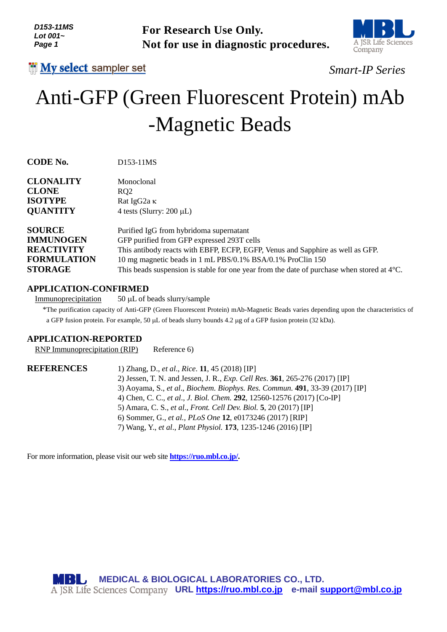

# *Smart-IP Series*

# Anti-GFP (Green Fluorescent Protein) mAb -Magnetic Beads

| D153-11MS<br>Lot 001~<br>Page 1                                     | <b>For Research Use Only.</b><br>Not for use in diagnostic procedures.                                                                                                                                                                               | A JSR Life Scien<br>Company |
|---------------------------------------------------------------------|------------------------------------------------------------------------------------------------------------------------------------------------------------------------------------------------------------------------------------------------------|-----------------------------|
| <b>III</b> My select sampler set                                    |                                                                                                                                                                                                                                                      | <b>Smart-IP Series</b>      |
|                                                                     | Anti-GFP (Green Fluorescent Protein) mAb                                                                                                                                                                                                             |                             |
|                                                                     | -Magnetic Beads                                                                                                                                                                                                                                      |                             |
| <b>CODE No.</b>                                                     | D153-11MS                                                                                                                                                                                                                                            |                             |
| <b>CLONALITY</b>                                                    | Monoclonal                                                                                                                                                                                                                                           |                             |
| <b>CLONE</b>                                                        | RQ2                                                                                                                                                                                                                                                  |                             |
| <b>ISOTYPE</b><br><b>QUANTITY</b>                                   | Rat IgG2a K<br>4 tests (Slurry: $200 \mu L$ )                                                                                                                                                                                                        |                             |
|                                                                     |                                                                                                                                                                                                                                                      |                             |
| <b>SOURCE</b>                                                       | Purified IgG from hybridoma supernatant                                                                                                                                                                                                              |                             |
| <b>IMMUNOGEN</b>                                                    | GFP purified from GFP expressed 293T cells                                                                                                                                                                                                           |                             |
| <b>REACTIVITY</b><br><b>FORMULATION</b>                             | This antibody reacts with EBFP, ECFP, EGFP, Venus and Sapphire as well as GFP.                                                                                                                                                                       |                             |
| <b>STORAGE</b>                                                      | 10 mg magnetic beads in 1 mL PBS/0.1% BSA/0.1% ProClin 150<br>This beads suspension is stable for one year from the date of purchase when stored at $4^{\circ}$ C.                                                                                   |                             |
|                                                                     |                                                                                                                                                                                                                                                      |                             |
| <b>APPLICATION-CONFIRMED</b>                                        |                                                                                                                                                                                                                                                      |                             |
| Immunoprecipitation                                                 | 50 μL of beads slurry/sample                                                                                                                                                                                                                         |                             |
|                                                                     | *The purification capacity of Anti-GFP (Green Fluorescent Protein) mAb-Magnetic Beads varies depending upon the characteristic<br>a GFP fusion protein. For example, 50 $\mu$ L of beads slurry bounds 4.2 $\mu$ g of a GFP fusion protein (32 kDa). |                             |
|                                                                     |                                                                                                                                                                                                                                                      |                             |
| <b>APPLICATION-REPORTED</b><br><b>RNP</b> Immunoprecipitation (RIP) | Reference 6)                                                                                                                                                                                                                                         |                             |
|                                                                     |                                                                                                                                                                                                                                                      |                             |
| <b>REFERENCES</b>                                                   | 1) Zhang, D., et al., Rice. 11, 45 (2018) [IP]                                                                                                                                                                                                       |                             |
|                                                                     | 2) Jessen, T. N. and Jessen, J. R., Exp. Cell Res. 361, 265-276 (2017) [IP]                                                                                                                                                                          |                             |
|                                                                     | 3) Aoyama, S., et al., Biochem. Biophys. Res. Commun. 491, 33-39 (2017) [IP]<br>4) Chen, C. C., et al., J. Biol. Chem. 292, 12560-12576 (2017) [Co-IP]                                                                                               |                             |
|                                                                     | 5) Amara, C. S., et al., Front. Cell Dev. Biol. 5, 20 (2017) [IP]                                                                                                                                                                                    |                             |
|                                                                     | 6) Sommer, G., et al., PLoS One 12, e0173246 (2017) [RIP]                                                                                                                                                                                            |                             |
|                                                                     | 7) Wang, Y., et al., Plant Physiol. 173, 1235-1246 (2016) [IP]                                                                                                                                                                                       |                             |
|                                                                     |                                                                                                                                                                                                                                                      |                             |
|                                                                     | For more information, please visit our web site <b>https://ruo.mbl.co.jp/</b> .                                                                                                                                                                      |                             |
|                                                                     |                                                                                                                                                                                                                                                      |                             |
|                                                                     |                                                                                                                                                                                                                                                      |                             |
|                                                                     |                                                                                                                                                                                                                                                      |                             |
|                                                                     |                                                                                                                                                                                                                                                      |                             |
|                                                                     |                                                                                                                                                                                                                                                      |                             |
|                                                                     |                                                                                                                                                                                                                                                      |                             |
|                                                                     |                                                                                                                                                                                                                                                      |                             |
|                                                                     |                                                                                                                                                                                                                                                      |                             |
|                                                                     |                                                                                                                                                                                                                                                      |                             |
| MBB L                                                               | <b>MEDICAL &amp; BIOLOGICAL LABORATORIES CO., LTD.</b>                                                                                                                                                                                               |                             |
|                                                                     | A JSR Life Sciences Company URL https://ruo.mbl.co.jp e-mail support@mbl.co.jp                                                                                                                                                                       |                             |

### **APPLICATION-CONFIRMED**

## **APPLICATION-REPORTED**